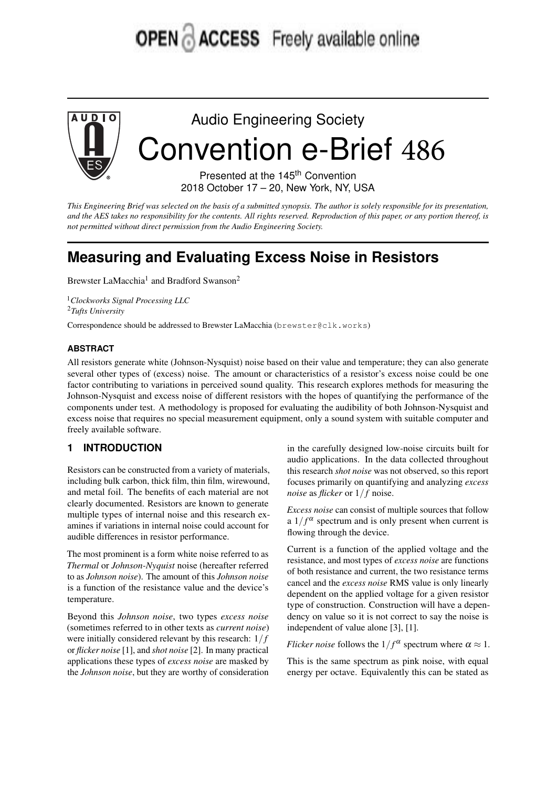# **OPEN ACCESS** Freely available online



Audio Engineering Society Convention e-Brief 486

> Presented at the 145<sup>th</sup> Convention 2018 October 17 – 20, New York, NY, USA

This Engineering Brief was selected on the basis of a submitted synopsis. The author is solely responsible for its presentation, and the AES takes no responsibility for the contents. All rights reserved. Reproduction of this paper, or any portion thereof, is *not permitted without direct permission from the Audio Engineering Society.*

# **Measuring and Evaluating Excess Noise in Resistors**

Brewster LaMacchia<sup>1</sup> and Bradford Swanson<sup>2</sup>

<sup>1</sup>*Clockworks Signal Processing LLC* <sup>2</sup>*Tufts University*

Correspondence should be addressed to Brewster LaMacchia (brewster@clk.works)

#### **ABSTRACT**

All resistors generate white (Johnson-Nysquist) noise based on their value and temperature; they can also generate several other types of (excess) noise. The amount or characteristics of a resistor's excess noise could be one factor contributing to variations in perceived sound quality. This research explores methods for measuring the Johnson-Nysquist and excess noise of different resistors with the hopes of quantifying the performance of the components under test. A methodology is proposed for evaluating the audibility of both Johnson-Nysquist and excess noise that requires no special measurement equipment, only a sound system with suitable computer and freely available software.

# **1 INTRODUCTION**

Resistors can be constructed from a variety of materials, including bulk carbon, thick film, thin film, wirewound, and metal foil. The benefits of each material are not clearly documented. Resistors are known to generate multiple types of internal noise and this research examines if variations in internal noise could account for audible differences in resistor performance.

The most prominent is a form white noise referred to as *Thermal* or *Johnson-Nyquist* noise (hereafter referred to as *Johnson noise*). The amount of this *Johnson noise* is a function of the resistance value and the device's temperature.

Beyond this *Johnson noise*, two types *excess noise* (sometimes referred to in other texts as *current noise*) were initially considered relevant by this research:  $1/f$ or *flicker noise* [1], and *shot noise* [2]. In many practical applications these types of *excess noise* are masked by the *Johnson noise*, but they are worthy of consideration

in the carefully designed low-noise circuits built for audio applications. In the data collected throughout this research *shot noise* was not observed, so this report focuses primarily on quantifying and analyzing *excess noise* as *flicker* or  $1/f$  noise.

*Excess noise* can consist of multiple sources that follow a  $1/f^{\alpha}$  spectrum and is only present when current is flowing through the device.

Current is a function of the applied voltage and the resistance, and most types of *excess noise* are functions of both resistance and current, the two resistance terms cancel and the *excess noise* RMS value is only linearly dependent on the applied voltage for a given resistor type of construction. Construction will have a dependency on value so it is not correct to say the noise is independent of value alone [3], [1].

*Flicker noise* follows the  $1/f^{\alpha}$  spectrum where  $\alpha \approx 1$ .

This is the same spectrum as pink noise, with equal energy per octave. Equivalently this can be stated as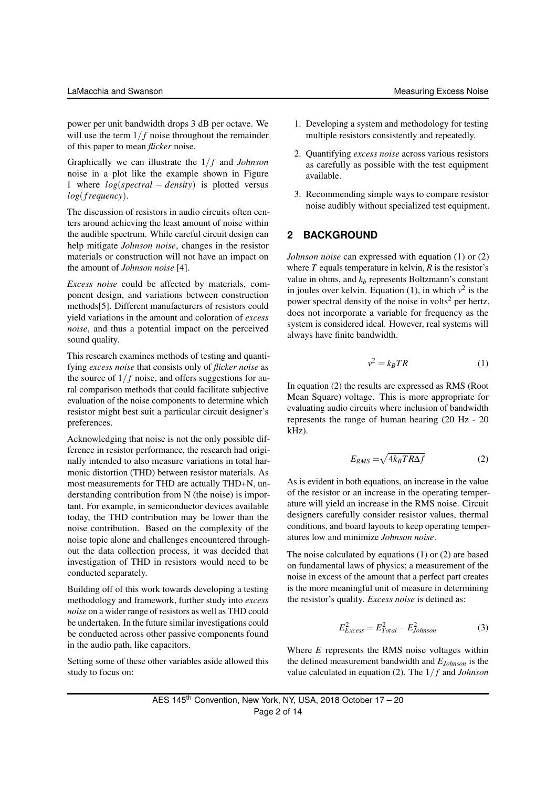power per unit bandwidth drops 3 dB per octave. We will use the term  $1/f$  noise throughout the remainder of this paper to mean *flicker* noise.

Graphically we can illustrate the  $1/f$  and *Johnson* noise in a plot like the example shown in Figure 1 where *log*(*spectral* − *density*) is plotted versus *log*(*f requency*).

The discussion of resistors in audio circuits often centers around achieving the least amount of noise within the audible spectrum. While careful circuit design can help mitigate *Johnson noise*, changes in the resistor materials or construction will not have an impact on the amount of *Johnson noise* [4].

*Excess noise* could be affected by materials, component design, and variations between construction methods[5]. Different manufacturers of resistors could yield variations in the amount and coloration of *excess noise*, and thus a potential impact on the perceived sound quality.

This research examines methods of testing and quantifying *excess noise* that consists only of *flicker noise* as the source of  $1/f$  noise, and offers suggestions for aural comparison methods that could facilitate subjective evaluation of the noise components to determine which resistor might best suit a particular circuit designer's preferences.

Acknowledging that noise is not the only possible difference in resistor performance, the research had originally intended to also measure variations in total harmonic distortion (THD) between resistor materials. As most measurements for THD are actually THD+N, understanding contribution from N (the noise) is important. For example, in semiconductor devices available today, the THD contribution may be lower than the noise contribution. Based on the complexity of the noise topic alone and challenges encountered throughout the data collection process, it was decided that investigation of THD in resistors would need to be conducted separately.

Building off of this work towards developing a testing methodology and framework, further study into *excess noise* on a wider range of resistors as well as THD could be undertaken. In the future similar investigations could be conducted across other passive components found in the audio path, like capacitors.

Setting some of these other variables aside allowed this study to focus on:

- 1. Developing a system and methodology for testing multiple resistors consistently and repeatedly.
- 2. Quantifying *excess noise* across various resistors as carefully as possible with the test equipment available.
- 3. Recommending simple ways to compare resistor noise audibly without specialized test equipment.

# **2 BACKGROUND**

*Johnson noise* can expressed with equation (1) or (2) where *T* equals temperature in kelvin, *R* is the resistor's value in ohms, and  $k_b$  represents Boltzmann's constant in joules over kelvin. Equation  $(1)$ , in which  $v^2$  is the power spectral density of the noise in volts<sup>2</sup> per hertz, does not incorporate a variable for frequency as the system is considered ideal. However, real systems will always have finite bandwidth.

$$
v^2 = k_B TR \tag{1}
$$

In equation (2) the results are expressed as RMS (Root Mean Square) voltage. This is more appropriate for evaluating audio circuits where inclusion of bandwidth represents the range of human hearing (20 Hz - 20 kHz).

$$
E_{RMS} = \sqrt{4k_B TR\Delta f} \tag{2}
$$

As is evident in both equations, an increase in the value of the resistor or an increase in the operating temperature will yield an increase in the RMS noise. Circuit designers carefully consider resistor values, thermal conditions, and board layouts to keep operating temperatures low and minimize *Johnson noise*.

The noise calculated by equations (1) or (2) are based on fundamental laws of physics; a measurement of the noise in excess of the amount that a perfect part creates is the more meaningful unit of measure in determining the resistor's quality. *Excess noise* is defined as:

$$
E_{Excess}^2 = E_{Total}^2 - E_{Johnson}^2 \tag{3}
$$

Where *E* represents the RMS noise voltages within the defined measurement bandwidth and *EJohnson* is the value calculated in equation (2). The 1/ *f* and *Johnson*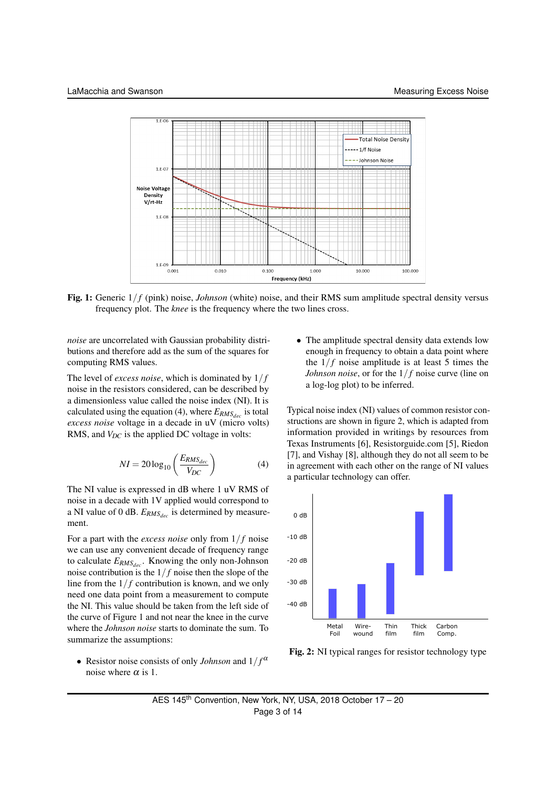

Fig. 1: Generic  $1/f$  (pink) noise, *Johnson* (white) noise, and their RMS sum amplitude spectral density versus frequency plot. The *knee* is the frequency where the two lines cross.

*noise* are uncorrelated with Gaussian probability distributions and therefore add as the sum of the squares for computing RMS values.

The level of *excess noise*, which is dominated by 1/ *f* noise in the resistors considered, can be described by a dimensionless value called the noise index (NI). It is calculated using the equation (4), where  $E_{RMS_{dec}}$  is total *excess noise* voltage in a decade in uV (micro volts) RMS, and  $V_{DC}$  is the applied DC voltage in volts:

$$
NI = 20\log_{10}\left(\frac{E_{RMS_{dec}}}{V_{DC}}\right) \tag{4}
$$

The NI value is expressed in dB where 1 uV RMS of noise in a decade with 1V applied would correspond to a NI value of 0 dB. *ERMSdec* is determined by measurement.

For a part with the *excess noise* only from  $1/f$  noise we can use any convenient decade of frequency range to calculate *ERMSdec* . Knowing the only non-Johnson noise contribution is the  $1/f$  noise then the slope of the line from the  $1/f$  contribution is known, and we only need one data point from a measurement to compute the NI. This value should be taken from the left side of the curve of Figure 1 and not near the knee in the curve where the *Johnson noise* starts to dominate the sum. To summarize the assumptions:

• Resistor noise consists of only *Johnson* and  $1/f^{\alpha}$ noise where  $\alpha$  is 1.

• The amplitude spectral density data extends low enough in frequency to obtain a data point where the  $1/f$  noise amplitude is at least 5 times the *Johnson noise*, or for the  $1/f$  noise curve (line on a log-log plot) to be inferred.

Typical noise index (NI) values of common resistor constructions are shown in figure 2, which is adapted from information provided in writings by resources from Texas Instruments [6], Resistorguide.com [5], Riedon [7], and Vishay [8], although they do not all seem to be in agreement with each other on the range of NI values a particular technology can offer.



Fig. 2: NI typical ranges for resistor technology type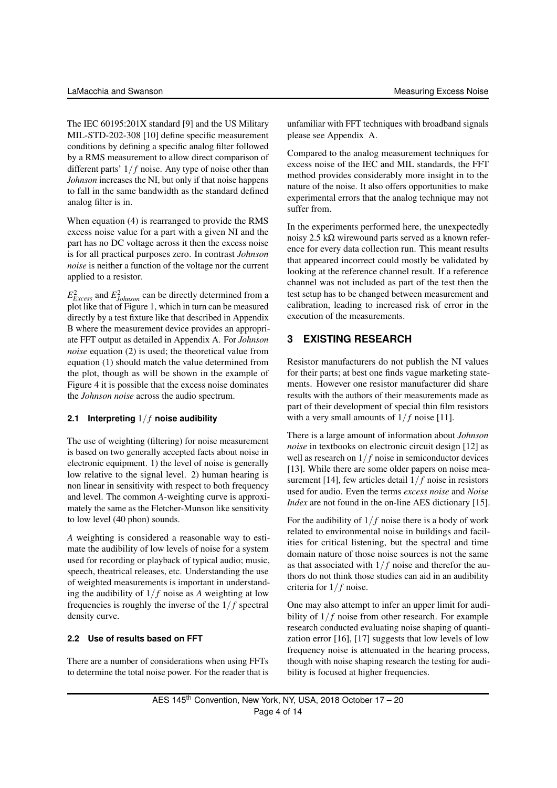The IEC 60195:201X standard [9] and the US Military MIL-STD-202-308 [10] define specific measurement conditions by defining a specific analog filter followed by a RMS measurement to allow direct comparison of different parts'  $1/f$  noise. Any type of noise other than *Johnson* increases the NI, but only if that noise happens to fall in the same bandwidth as the standard defined analog filter is in.

When equation (4) is rearranged to provide the RMS excess noise value for a part with a given NI and the part has no DC voltage across it then the excess noise is for all practical purposes zero. In contrast *Johnson noise* is neither a function of the voltage nor the current applied to a resistor.

 $E_{Excess}^2$  and  $E_{Johnson}^2$  can be directly determined from a plot like that of Figure 1, which in turn can be measured directly by a test fixture like that described in Appendix B where the measurement device provides an appropriate FFT output as detailed in Appendix A. For *Johnson noise* equation (2) is used; the theoretical value from equation (1) should match the value determined from the plot, though as will be shown in the example of Figure 4 it is possible that the excess noise dominates the *Johnson noise* across the audio spectrum.

#### **2.1 Interpreting** 1/ *f* **noise audibility**

The use of weighting (filtering) for noise measurement is based on two generally accepted facts about noise in electronic equipment. 1) the level of noise is generally low relative to the signal level. 2) human hearing is non linear in sensitivity with respect to both frequency and level. The common *A*-weighting curve is approximately the same as the Fletcher-Munson like sensitivity to low level (40 phon) sounds.

*A* weighting is considered a reasonable way to estimate the audibility of low levels of noise for a system used for recording or playback of typical audio; music, speech, theatrical releases, etc. Understanding the use of weighted measurements is important in understanding the audibility of  $1/f$  noise as *A* weighting at low frequencies is roughly the inverse of the  $1/f$  spectral density curve.

#### **2.2 Use of results based on FFT**

There are a number of considerations when using FFTs to determine the total noise power. For the reader that is

unfamiliar with FFT techniques with broadband signals please see Appendix A.

Compared to the analog measurement techniques for excess noise of the IEC and MIL standards, the FFT method provides considerably more insight in to the nature of the noise. It also offers opportunities to make experimental errors that the analog technique may not suffer from.

In the experiments performed here, the unexpectedly noisy 2.5 kΩ wirewound parts served as a known reference for every data collection run. This meant results that appeared incorrect could mostly be validated by looking at the reference channel result. If a reference channel was not included as part of the test then the test setup has to be changed between measurement and calibration, leading to increased risk of error in the execution of the measurements.

# **3 EXISTING RESEARCH**

Resistor manufacturers do not publish the NI values for their parts; at best one finds vague marketing statements. However one resistor manufacturer did share results with the authors of their measurements made as part of their development of special thin film resistors with a very small amounts of  $1/f$  noise [11].

There is a large amount of information about *Johnson noise* in textbooks on electronic circuit design [12] as well as research on  $1/f$  noise in semiconductor devices [13]. While there are some older papers on noise measurement [14], few articles detail  $1/f$  noise in resistors used for audio. Even the terms *excess noise* and *Noise Index* are not found in the on-line AES dictionary [15].

For the audibility of  $1/f$  noise there is a body of work related to environmental noise in buildings and facilities for critical listening, but the spectral and time domain nature of those noise sources is not the same as that associated with  $1/f$  noise and therefor the authors do not think those studies can aid in an audibility criteria for  $1/f$  noise.

One may also attempt to infer an upper limit for audibility of  $1/f$  noise from other research. For example research conducted evaluating noise shaping of quantization error [16], [17] suggests that low levels of low frequency noise is attenuated in the hearing process, though with noise shaping research the testing for audibility is focused at higher frequencies.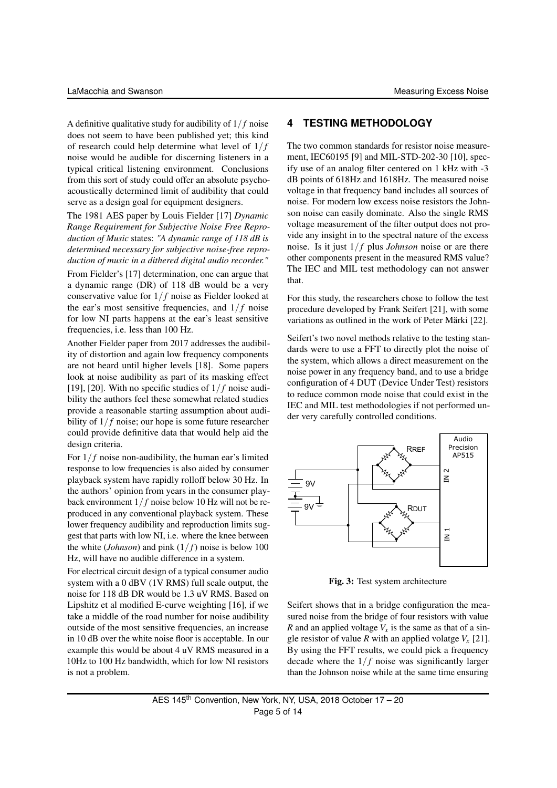A definitive qualitative study for audibility of 1/ *f* noise does not seem to have been published yet; this kind of research could help determine what level of  $1/f$ noise would be audible for discerning listeners in a typical critical listening environment. Conclusions from this sort of study could offer an absolute psychoacoustically determined limit of audibility that could serve as a design goal for equipment designers.

The 1981 AES paper by Louis Fielder [17] *Dynamic Range Requirement for Subjective Noise Free Reproduction of Music* states: *"A dynamic range of 118 dB is determined necessary for subjective noise-free reproduction of music in a dithered digital audio recorder."*

From Fielder's [17] determination, one can argue that a dynamic range (DR) of 118 dB would be a very conservative value for 1/ *f* noise as Fielder looked at the ear's most sensitive frequencies, and  $1/f$  noise for low NI parts happens at the ear's least sensitive frequencies, i.e. less than 100 Hz.

Another Fielder paper from 2017 addresses the audibility of distortion and again low frequency components are not heard until higher levels [18]. Some papers look at noise audibility as part of its masking effect [19], [20]. With no specific studies of  $1/f$  noise audibility the authors feel these somewhat related studies provide a reasonable starting assumption about audibility of  $1/f$  noise; our hope is some future researcher could provide definitive data that would help aid the design criteria.

For  $1/f$  noise non-audibility, the human ear's limited response to low frequencies is also aided by consumer playback system have rapidly rolloff below 30 Hz. In the authors' opinion from years in the consumer playback environment  $1/f$  noise below 10 Hz will not be reproduced in any conventional playback system. These lower frequency audibility and reproduction limits suggest that parts with low NI, i.e. where the knee between the white (*Johnson*) and pink  $(1/f)$  noise is below 100 Hz, will have no audible difference in a system.

For electrical circuit design of a typical consumer audio system with a 0 dBV (1V RMS) full scale output, the noise for 118 dB DR would be 1.3 uV RMS. Based on Lipshitz et al modified E-curve weighting [16], if we take a middle of the road number for noise audibility outside of the most sensitive frequencies, an increase in 10 dB over the white noise floor is acceptable. In our example this would be about 4 uV RMS measured in a 10Hz to 100 Hz bandwidth, which for low NI resistors is not a problem.

#### **4 TESTING METHODOLOGY**

The two common standards for resistor noise measurement, IEC60195 [9] and MIL-STD-202-30 [10], specify use of an analog filter centered on 1 kHz with -3 dB points of 618Hz and 1618Hz. The measured noise voltage in that frequency band includes all sources of noise. For modern low excess noise resistors the Johnson noise can easily dominate. Also the single RMS voltage measurement of the filter output does not provide any insight in to the spectral nature of the excess noise. Is it just 1/ *f* plus *Johnson* noise or are there other components present in the measured RMS value? The IEC and MIL test methodology can not answer that.

For this study, the researchers chose to follow the test procedure developed by Frank Seifert [21], with some variations as outlined in the work of Peter Märki [22].

Seifert's two novel methods relative to the testing standards were to use a FFT to directly plot the noise of the system, which allows a direct measurement on the noise power in any frequency band, and to use a bridge configuration of 4 DUT (Device Under Test) resistors to reduce common mode noise that could exist in the IEC and MIL test methodologies if not performed under very carefully controlled conditions.



Fig. 3: Test system architecture

Seifert shows that in a bridge configuration the measured noise from the bridge of four resistors with value *R* and an applied voltage  $V_x$  is the same as that of a single resistor of value *R* with an applied volatge  $V_x$  [21]. By using the FFT results, we could pick a frequency decade where the  $1/f$  noise was significantly larger than the Johnson noise while at the same time ensuring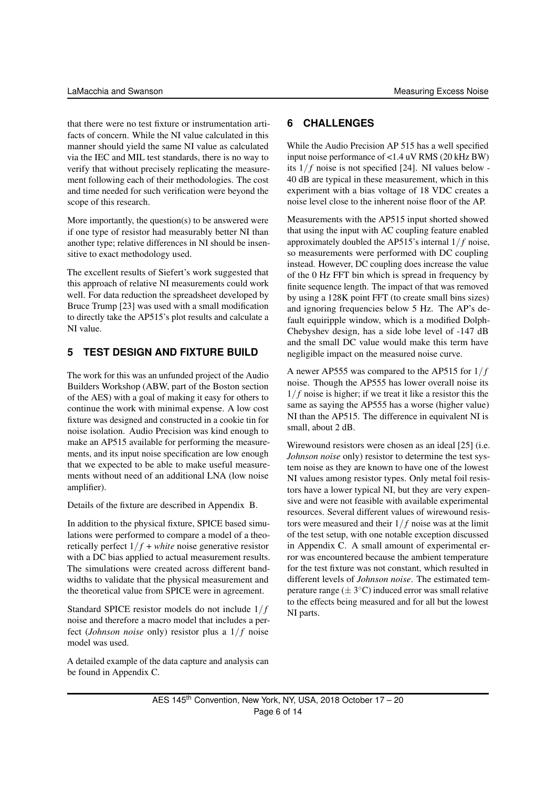that there were no test fixture or instrumentation artifacts of concern. While the NI value calculated in this manner should yield the same NI value as calculated via the IEC and MIL test standards, there is no way to verify that without precisely replicating the measurement following each of their methodologies. The cost and time needed for such verification were beyond the scope of this research.

More importantly, the question(s) to be answered were if one type of resistor had measurably better NI than another type; relative differences in NI should be insensitive to exact methodology used.

The excellent results of Siefert's work suggested that this approach of relative NI measurements could work well. For data reduction the spreadsheet developed by Bruce Trump [23] was used with a small modification to directly take the AP515's plot results and calculate a NI value.

#### **5 TEST DESIGN AND FIXTURE BUILD**

The work for this was an unfunded project of the Audio Builders Workshop (ABW, part of the Boston section of the AES) with a goal of making it easy for others to continue the work with minimal expense. A low cost fixture was designed and constructed in a cookie tin for noise isolation. Audio Precision was kind enough to make an AP515 available for performing the measurements, and its input noise specification are low enough that we expected to be able to make useful measurements without need of an additional LNA (low noise amplifier).

Details of the fixture are described in Appendix B.

In addition to the physical fixture, SPICE based simulations were performed to compare a model of a theoretically perfect  $1/f + white$  noise generative resistor with a DC bias applied to actual measurement results. The simulations were created across different bandwidths to validate that the physical measurement and the theoretical value from SPICE were in agreement.

Standard SPICE resistor models do not include  $1/f$ noise and therefore a macro model that includes a perfect (*Johnson noise* only) resistor plus a  $1/f$  noise model was used.

A detailed example of the data capture and analysis can be found in Appendix C.

#### **6 CHALLENGES**

While the Audio Precision AP 515 has a well specified input noise performance of <1.4 uV RMS (20 kHz BW) its  $1/f$  noise is not specified [24]. NI values below -40 dB are typical in these measurement, which in this experiment with a bias voltage of 18 VDC creates a noise level close to the inherent noise floor of the AP.

Measurements with the AP515 input shorted showed that using the input with AC coupling feature enabled approximately doubled the AP515's internal  $1/f$  noise, so measurements were performed with DC coupling instead. However, DC coupling does increase the value of the 0 Hz FFT bin which is spread in frequency by finite sequence length. The impact of that was removed by using a 128K point FFT (to create small bins sizes) and ignoring frequencies below 5 Hz. The AP's default equiripple window, which is a modified Dolph-Chebyshev design, has a side lobe level of -147 dB and the small DC value would make this term have negligible impact on the measured noise curve.

A newer AP555 was compared to the AP515 for  $1/f$ noise. Though the AP555 has lower overall noise its  $1/f$  noise is higher; if we treat it like a resistor this the same as saying the AP555 has a worse (higher value) NI than the AP515. The difference in equivalent NI is small, about 2 dB.

Wirewound resistors were chosen as an ideal [25] (i.e. *Johnson noise* only) resistor to determine the test system noise as they are known to have one of the lowest NI values among resistor types. Only metal foil resistors have a lower typical NI, but they are very expensive and were not feasible with available experimental resources. Several different values of wirewound resistors were measured and their 1/ *f* noise was at the limit of the test setup, with one notable exception discussed in Appendix C. A small amount of experimental error was encountered because the ambient temperature for the test fixture was not constant, which resulted in different levels of *Johnson noise*. The estimated temperature range  $(\pm 3^{\circ}C)$  induced error was small relative to the effects being measured and for all but the lowest NI parts.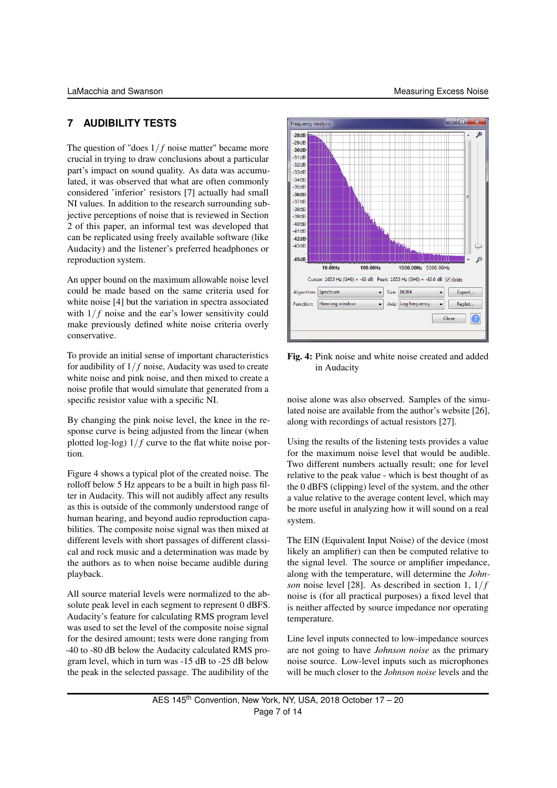# **7 AUDIBILITY TESTS**

The question of "does  $1/f$  noise matter" became more crucial in trying to draw conclusions about a particular part's impact on sound quality. As data was accumulated, it was observed that what are often commonly considered 'inferior' resistors [7] actually had small NI values. In addition to the research surrounding subjective perceptions of noise that is reviewed in Section 2 of this paper, an informal test was developed that can be replicated using freely available software (like Audacity) and the listener's preferred headphones or reproduction system.

An upper bound on the maximum allowable noise level could be made based on the same criteria used for white noise [4] but the variation in spectra associated with  $1/f$  noise and the ear's lower sensitivity could make previously defined white noise criteria overly conservative.

To provide an initial sense of important characteristics for audibility of  $1/f$  noise, Audacity was used to create white noise and pink noise, and then mixed to create a noise profile that would simulate that generated from a specific resistor value with a specific NI.

By changing the pink noise level, the knee in the response curve is being adjusted from the linear (when plotted log-log)  $1/f$  curve to the flat white noise portion.

Figure 4 shows a typical plot of the created noise. The rolloff below 5 Hz appears to be a built in high pass filter in Audacity. This will not audibly affect any results as this is outside of the commonly understood range of human hearing, and beyond audio reproduction capabilities. The composite noise signal was then mixed at different levels with short passages of different classical and rock music and a determination was made by the authors as to when noise became audible during playback.

All source material levels were normalized to the absolute peak level in each segment to represent 0 dBFS. Audacity's feature for calculating RMS program level was used to set the level of the composite noise signal for the desired amount; tests were done ranging from -40 to -80 dB below the Audacity calculated RMS program level, which in turn was -15 dB to -25 dB below the peak in the selected passage. The audibility of the



Fig. 4: Pink noise and white noise created and added in Audacity

noise alone was also observed. Samples of the simulated noise are available from the author's website [26], along with recordings of actual resistors [27].

Using the results of the listening tests provides a value for the maximum noise level that would be audible. Two different numbers actually result; one for level relative to the peak value - which is best thought of as the 0 dBFS (clipping) level of the system, and the other a value relative to the average content level, which may be more useful in analyzing how it will sound on a real system.

The EIN (Equivalent Input Noise) of the device (most likely an amplifier) can then be computed relative to the signal level. The source or amplifier impedance, along with the temperature, will determine the *Johnson* noise level [28]. As described in section 1,  $1/f$ noise is (for all practical purposes) a fixed level that is neither affected by source impedance nor operating temperature.

Line level inputs connected to low-impedance sources are not going to have *Johnson noise* as the primary noise source. Low-level inputs such as microphones will be much closer to the *Johnson noise* levels and the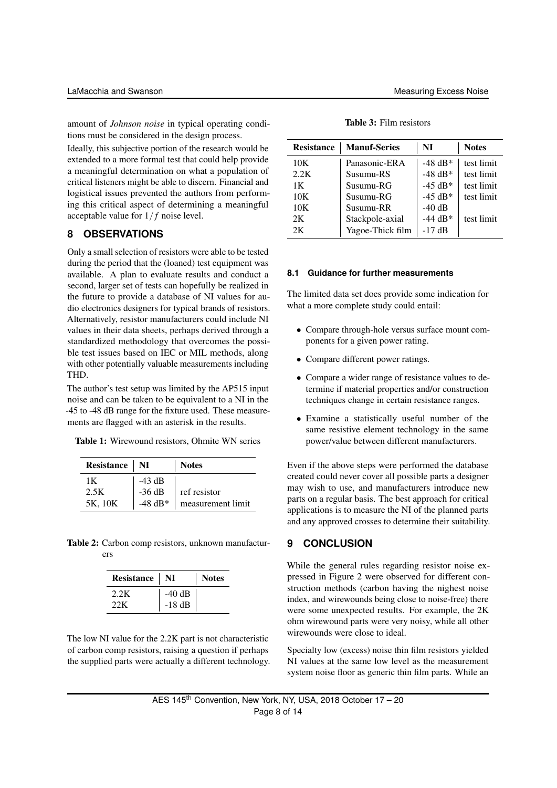amount of *Johnson noise* in typical operating conditions must be considered in the design process.

Ideally, this subjective portion of the research would be extended to a more formal test that could help provide a meaningful determination on what a population of critical listeners might be able to discern. Financial and logistical issues prevented the authors from performing this critical aspect of determining a meaningful acceptable value for  $1/f$  noise level.

#### **8 OBSERVATIONS**

Only a small selection of resistors were able to be tested during the period that the (loaned) test equipment was available. A plan to evaluate results and conduct a second, larger set of tests can hopefully be realized in the future to provide a database of NI values for audio electronics designers for typical brands of resistors. Alternatively, resistor manufacturers could include NI values in their data sheets, perhaps derived through a standardized methodology that overcomes the possible test issues based on IEC or MIL methods, along with other potentially valuable measurements including THD.

The author's test setup was limited by the AP515 input noise and can be taken to be equivalent to a NI in the -45 to -48 dB range for the fixture used. These measurements are flagged with an asterisk in the results.

Table 1: Wirewound resistors, Ohmite WN series

| Resistance   NI       |                                 | <b>Notes</b>                      |
|-----------------------|---------------------------------|-----------------------------------|
| 1Κ<br>2.5K<br>5K. 10K | $-43$ dB<br>$-36$ dB<br>-48 dB* | ref resistor<br>measurement limit |

Table 2: Carbon comp resistors, unknown manufacturers

| Resistance   NI |          | <b>Notes</b> |
|-----------------|----------|--------------|
| 2.2K            | $-40$ dB |              |
| 22.K            | $-18$ dB |              |

The low NI value for the 2.2K part is not characteristic of carbon comp resistors, raising a question if perhaps the supplied parts were actually a different technology.

| <b>Resistance</b> | <b>Manuf-Series</b> | NI                 | <b>Notes</b> |
|-------------------|---------------------|--------------------|--------------|
| 10K               | Panasonic-ERA       | $-48$ dB*          | test limit   |
| 2.2K              | Susumu-RS           | $-48$ dB*          | test limit   |
| 1 K               | Susumu-RG           | $-45$ dB*          | test limit   |
| 10K               | Susumu-RG           | $-45$ dB*          | test limit   |
| 10K               | Susumu-RR           | $-40$ dB           |              |
| 2K                | Stackpole-axial     | $-44 \text{ dB}^*$ | test limit   |
| 2K                | Yagoe-Thick film    | $-17$ dB           |              |

Table 3: Film resistors

#### **8.1 Guidance for further measurements**

The limited data set does provide some indication for what a more complete study could entail:

- Compare through-hole versus surface mount components for a given power rating.
- Compare different power ratings.
- Compare a wider range of resistance values to determine if material properties and/or construction techniques change in certain resistance ranges.
- Examine a statistically useful number of the same resistive element technology in the same power/value between different manufacturers.

Even if the above steps were performed the database created could never cover all possible parts a designer may wish to use, and manufacturers introduce new parts on a regular basis. The best approach for critical applications is to measure the NI of the planned parts and any approved crosses to determine their suitability.

#### **9 CONCLUSION**

While the general rules regarding resistor noise expressed in Figure 2 were observed for different construction methods (carbon having the nighest noise index, and wirewounds being close to noise-free) there were some unexpected results. For example, the 2K ohm wirewound parts were very noisy, while all other wirewounds were close to ideal.

Specialty low (excess) noise thin film resistors yielded NI values at the same low level as the measurement system noise floor as generic thin film parts. While an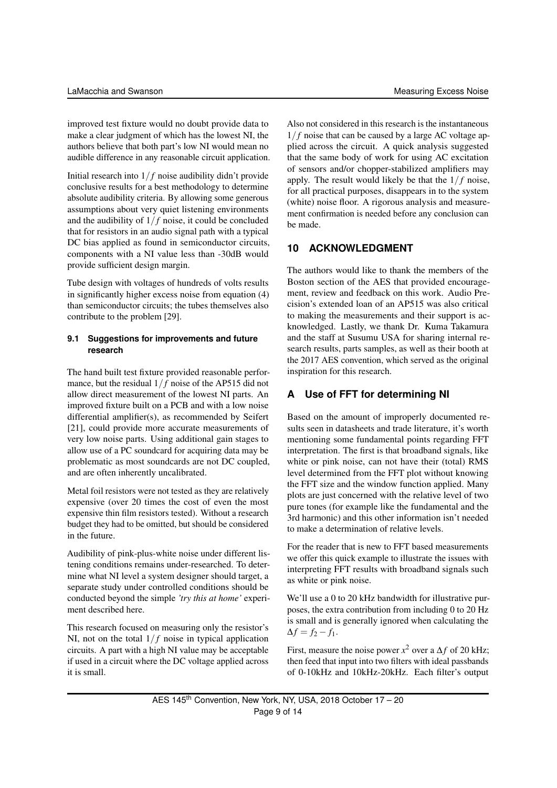improved test fixture would no doubt provide data to make a clear judgment of which has the lowest NI, the authors believe that both part's low NI would mean no audible difference in any reasonable circuit application.

Initial research into  $1/f$  noise audibility didn't provide conclusive results for a best methodology to determine absolute audibility criteria. By allowing some generous assumptions about very quiet listening environments and the audibility of  $1/f$  noise, it could be concluded that for resistors in an audio signal path with a typical DC bias applied as found in semiconductor circuits, components with a NI value less than -30dB would provide sufficient design margin.

Tube design with voltages of hundreds of volts results in significantly higher excess noise from equation (4) than semiconductor circuits; the tubes themselves also contribute to the problem [29].

#### **9.1 Suggestions for improvements and future research**

The hand built test fixture provided reasonable performance, but the residual  $1/f$  noise of the AP515 did not allow direct measurement of the lowest NI parts. An improved fixture built on a PCB and with a low noise differential amplifier(s), as recommended by Seifert [21], could provide more accurate measurements of very low noise parts. Using additional gain stages to allow use of a PC soundcard for acquiring data may be problematic as most soundcards are not DC coupled, and are often inherently uncalibrated.

Metal foil resistors were not tested as they are relatively expensive (over 20 times the cost of even the most expensive thin film resistors tested). Without a research budget they had to be omitted, but should be considered in the future.

Audibility of pink-plus-white noise under different listening conditions remains under-researched. To determine what NI level a system designer should target, a separate study under controlled conditions should be conducted beyond the simple *'try this at home'* experiment described here.

This research focused on measuring only the resistor's NI, not on the total  $1/f$  noise in typical application circuits. A part with a high NI value may be acceptable if used in a circuit where the DC voltage applied across it is small.

Also not considered in this research is the instantaneous  $1/f$  noise that can be caused by a large AC voltage applied across the circuit. A quick analysis suggested that the same body of work for using AC excitation of sensors and/or chopper-stabilized amplifiers may apply. The result would likely be that the  $1/f$  noise, for all practical purposes, disappears in to the system (white) noise floor. A rigorous analysis and measurement confirmation is needed before any conclusion can be made.

# **10 ACKNOWLEDGMENT**

The authors would like to thank the members of the Boston section of the AES that provided encouragement, review and feedback on this work. Audio Precision's extended loan of an AP515 was also critical to making the measurements and their support is acknowledged. Lastly, we thank Dr. Kuma Takamura and the staff at Susumu USA for sharing internal research results, parts samples, as well as their booth at the 2017 AES convention, which served as the original inspiration for this research.

# **A Use of FFT for determining NI**

Based on the amount of improperly documented results seen in datasheets and trade literature, it's worth mentioning some fundamental points regarding FFT interpretation. The first is that broadband signals, like white or pink noise, can not have their (total) RMS level determined from the FFT plot without knowing the FFT size and the window function applied. Many plots are just concerned with the relative level of two pure tones (for example like the fundamental and the 3rd harmonic) and this other information isn't needed to make a determination of relative levels.

For the reader that is new to FFT based measurements we offer this quick example to illustrate the issues with interpreting FFT results with broadband signals such as white or pink noise.

We'll use a 0 to 20 kHz bandwidth for illustrative purposes, the extra contribution from including 0 to 20 Hz is small and is generally ignored when calculating the  $\Delta f = f_2 - f_1.$ 

First, measure the noise power  $x^2$  over a  $\Delta f$  of 20 kHz; then feed that input into two filters with ideal passbands of 0-10kHz and 10kHz-20kHz. Each filter's output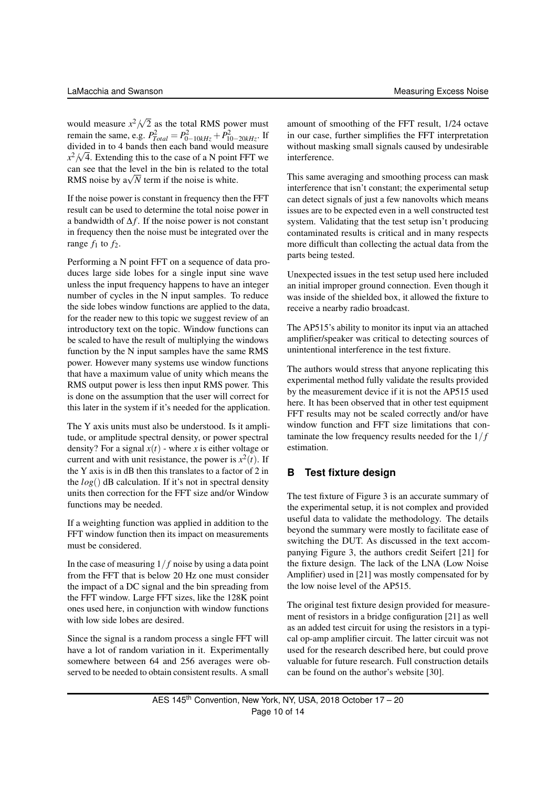would measure  $x^2/\sqrt{2}$ 2 as the total RMS power must remain the same, e.g.  $P_{Total}^2 = P_{0-10kHz}^2 + P_{10-20kHz}^2$ . If divided in to 4 bands then each band would measure  $x^2/\sqrt{4}$ . Extending this to the case of a N point FFT we can see that the level in the bin is related to the total can see that the level in the bin is related to  $\frac{1}{N}$  RMS noise by  $\frac{a}{N}$  term if the noise is white.

If the noise power is constant in frequency then the FFT result can be used to determine the total noise power in a bandwidth of  $\Delta f$ . If the noise power is not constant in frequency then the noise must be integrated over the range  $f_1$  to  $f_2$ .

Performing a N point FFT on a sequence of data produces large side lobes for a single input sine wave unless the input frequency happens to have an integer number of cycles in the N input samples. To reduce the side lobes window functions are applied to the data, for the reader new to this topic we suggest review of an introductory text on the topic. Window functions can be scaled to have the result of multiplying the windows function by the N input samples have the same RMS power. However many systems use window functions that have a maximum value of unity which means the RMS output power is less then input RMS power. This is done on the assumption that the user will correct for this later in the system if it's needed for the application.

The Y axis units must also be understood. Is it amplitude, or amplitude spectral density, or power spectral density? For a signal  $x(t)$  - where *x* is either voltage or current and with unit resistance, the power is  $x^2(t)$ . If the Y axis is in dB then this translates to a factor of 2 in the *log*() dB calculation. If it's not in spectral density units then correction for the FFT size and/or Window functions may be needed.

If a weighting function was applied in addition to the FFT window function then its impact on measurements must be considered.

In the case of measuring  $1/f$  noise by using a data point from the FFT that is below 20 Hz one must consider the impact of a DC signal and the bin spreading from the FFT window. Large FFT sizes, like the 128K point ones used here, in conjunction with window functions with low side lobes are desired.

Since the signal is a random process a single FFT will have a lot of random variation in it. Experimentally somewhere between 64 and 256 averages were observed to be needed to obtain consistent results. A small

This same averaging and smoothing process can mask interference that isn't constant; the experimental setup can detect signals of just a few nanovolts which means issues are to be expected even in a well constructed test system. Validating that the test setup isn't producing contaminated results is critical and in many respects more difficult than collecting the actual data from the parts being tested.

interference.

Unexpected issues in the test setup used here included an initial improper ground connection. Even though it was inside of the shielded box, it allowed the fixture to receive a nearby radio broadcast.

The AP515's ability to monitor its input via an attached amplifier/speaker was critical to detecting sources of unintentional interference in the test fixture.

The authors would stress that anyone replicating this experimental method fully validate the results provided by the measurement device if it is not the AP515 used here. It has been observed that in other test equipment FFT results may not be scaled correctly and/or have window function and FFT size limitations that contaminate the low frequency results needed for the 1/ *f* estimation.

# **B Test fixture design**

The test fixture of Figure 3 is an accurate summary of the experimental setup, it is not complex and provided useful data to validate the methodology. The details beyond the summary were mostly to facilitate ease of switching the DUT. As discussed in the text accompanying Figure 3, the authors credit Seifert [21] for the fixture design. The lack of the LNA (Low Noise Amplifier) used in [21] was mostly compensated for by the low noise level of the AP515.

The original test fixture design provided for measurement of resistors in a bridge configuration [21] as well as an added test circuit for using the resistors in a typical op-amp amplifier circuit. The latter circuit was not used for the research described here, but could prove valuable for future research. Full construction details can be found on the author's website [30].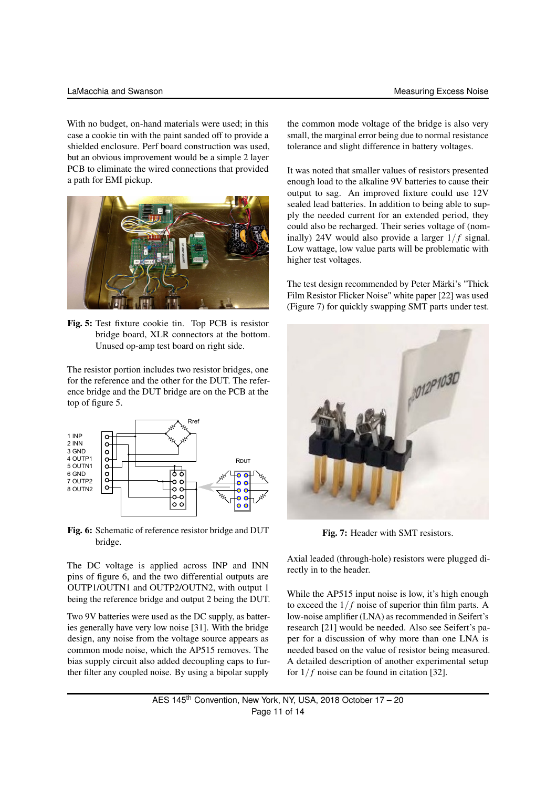With no budget, on-hand materials were used; in this case a cookie tin with the paint sanded off to provide a shielded enclosure. Perf board construction was used, but an obvious improvement would be a simple 2 layer PCB to eliminate the wired connections that provided a path for EMI pickup.



Fig. 5: Test fixture cookie tin. Top PCB is resistor bridge board, XLR connectors at the bottom. Unused op-amp test board on right side.

The resistor portion includes two resistor bridges, one for the reference and the other for the DUT. The reference bridge and the DUT bridge are on the PCB at the top of figure 5.



Fig. 6: Schematic of reference resistor bridge and DUT bridge.

The DC voltage is applied across INP and INN pins of figure 6, and the two differential outputs are OUTP1/OUTN1 and OUTP2/OUTN2, with output 1 being the reference bridge and output 2 being the DUT.

Two 9V batteries were used as the DC supply, as batteries generally have very low noise [31]. With the bridge design, any noise from the voltage source appears as common mode noise, which the AP515 removes. The bias supply circuit also added decoupling caps to further filter any coupled noise. By using a bipolar supply

the common mode voltage of the bridge is also very small, the marginal error being due to normal resistance tolerance and slight difference in battery voltages.

It was noted that smaller values of resistors presented enough load to the alkaline 9V batteries to cause their output to sag. An improved fixture could use 12V sealed lead batteries. In addition to being able to supply the needed current for an extended period, they could also be recharged. Their series voltage of (nominally) 24V would also provide a larger  $1/f$  signal. Low wattage, low value parts will be problematic with higher test voltages.

The test design recommended by Peter Märki's "Thick Film Resistor Flicker Noise" white paper [22] was used (Figure 7) for quickly swapping SMT parts under test.



Fig. 7: Header with SMT resistors.

Axial leaded (through-hole) resistors were plugged directly in to the header.

While the AP515 input noise is low, it's high enough to exceed the  $1/f$  noise of superior thin film parts. A low-noise amplifier (LNA) as recommended in Seifert's research [21] would be needed. Also see Seifert's paper for a discussion of why more than one LNA is needed based on the value of resistor being measured. A detailed description of another experimental setup for  $1/f$  noise can be found in citation [32].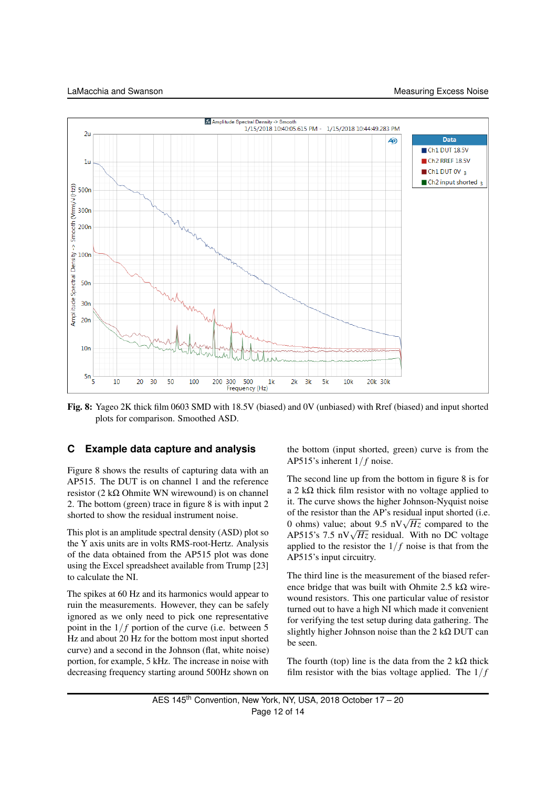

Fig. 8: Yageo 2K thick film 0603 SMD with 18.5V (biased) and 0V (unbiased) with Rref (biased) and input shorted plots for comparison. Smoothed ASD.

# **C Example data capture and analysis**

Figure 8 shows the results of capturing data with an AP515. The DUT is on channel 1 and the reference resistor (2 kΩ Ohmite WN wirewound) is on channel 2. The bottom (green) trace in figure 8 is with input 2 shorted to show the residual instrument noise.

This plot is an amplitude spectral density (ASD) plot so the Y axis units are in volts RMS-root-Hertz. Analysis of the data obtained from the AP515 plot was done using the Excel spreadsheet available from Trump [23] to calculate the NI.

The spikes at 60 Hz and its harmonics would appear to ruin the measurements. However, they can be safely ignored as we only need to pick one representative point in the  $1/f$  portion of the curve (i.e. between 5 Hz and about 20 Hz for the bottom most input shorted curve) and a second in the Johnson (flat, white noise) portion, for example, 5 kHz. The increase in noise with decreasing frequency starting around 500Hz shown on

the bottom (input shorted, green) curve is from the AP515's inherent  $1/f$  noise.

The second line up from the bottom in figure 8 is for a 2 kΩ thick film resistor with no voltage applied to it. The curve shows the higher Johnson-Nyquist noise of the resistor than the AP's residual input shorted (i.e. 0 the resistor than the AP s residual input shorted (i.e. 0 ohms) value; about 9.5 nV $\sqrt{Hz}$  compared to the 0 onms) value; about 9.5 n v $\sqrt{Hz}$  compared to the AP515's 7.5 nV $\sqrt{Hz}$  residual. With no DC voltage applied to the resistor the  $1/f$  noise is that from the AP515's input circuitry.

The third line is the measurement of the biased reference bridge that was built with Ohmite 2.5 k $\Omega$  wirewound resistors. This one particular value of resistor turned out to have a high NI which made it convenient for verifying the test setup during data gathering. The slightly higher Johnson noise than the  $2 \text{ k}\Omega$  DUT can be seen.

The fourth (top) line is the data from the 2 k $\Omega$  thick film resistor with the bias voltage applied. The  $1/f$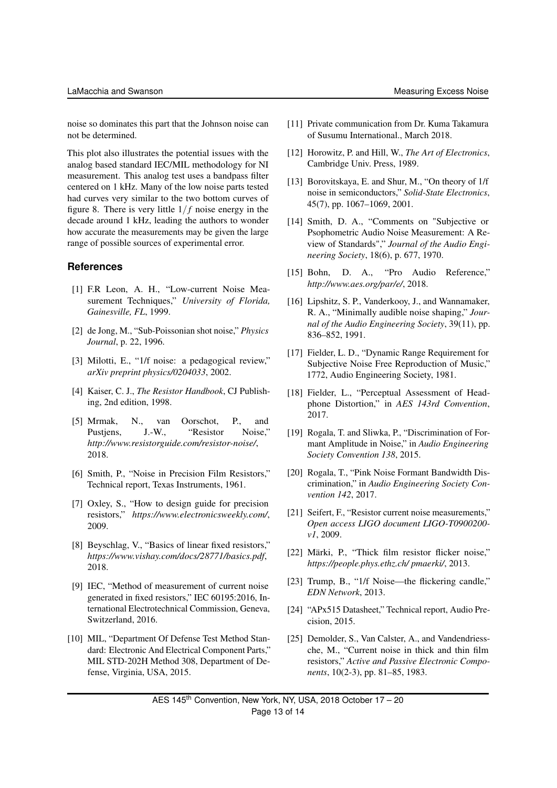noise so dominates this part that the Johnson noise can not be determined.

This plot also illustrates the potential issues with the analog based standard IEC/MIL methodology for NI measurement. This analog test uses a bandpass filter centered on 1 kHz. Many of the low noise parts tested had curves very similar to the two bottom curves of figure 8. There is very little  $1/f$  noise energy in the decade around 1 kHz, leading the authors to wonder how accurate the measurements may be given the large range of possible sources of experimental error.

#### **References**

- [1] F.R Leon, A. H., "Low-current Noise Measurement Techniques," *University of Florida, Gainesville, FL*, 1999.
- [2] de Jong, M., "Sub-Poissonian shot noise," *Physics Journal*, p. 22, 1996.
- [3] Milotti, E., "1/f noise: a pedagogical review," *arXiv preprint physics/0204033*, 2002.
- [4] Kaiser, C. J., *The Resistor Handbook*, CJ Publishing, 2nd edition, 1998.
- [5] Mrmak, N., van Oorschot, P., and Pustjens, J.-W., "Resistor Noise," *http://www.resistorguide.com/resistor-noise/*, 2018.
- [6] Smith, P., "Noise in Precision Film Resistors," Technical report, Texas Instruments, 1961.
- [7] Oxley, S., "How to design guide for precision resistors," *https://www.electronicsweekly.com/*, 2009.
- [8] Beyschlag, V., "Basics of linear fixed resistors," *https://www.vishay.com/docs/28771/basics.pdf*, 2018.
- [9] IEC, "Method of measurement of current noise generated in fixed resistors," IEC 60195:2016, International Electrotechnical Commission, Geneva, Switzerland, 2016.
- [10] MIL, "Department Of Defense Test Method Standard: Electronic And Electrical Component Parts," MIL STD-202H Method 308, Department of Defense, Virginia, USA, 2015.
- [11] Private communication from Dr. Kuma Takamura of Susumu International., March 2018.
- [12] Horowitz, P. and Hill, W., *The Art of Electronics*, Cambridge Univ. Press, 1989.
- [13] Borovitskaya, E. and Shur, M., "On theory of 1/f noise in semiconductors," *Solid-State Electronics*, 45(7), pp. 1067–1069, 2001.
- [14] Smith, D. A., "Comments on "Subjective or Psophometric Audio Noise Measurement: A Review of Standards"," *Journal of the Audio Engineering Society*, 18(6), p. 677, 1970.
- [15] Bohn, D. A., "Pro Audio Reference," *http://www.aes.org/par/e/*, 2018.
- [16] Lipshitz, S. P., Vanderkooy, J., and Wannamaker, R. A., "Minimally audible noise shaping," *Journal of the Audio Engineering Society*, 39(11), pp. 836–852, 1991.
- [17] Fielder, L. D., "Dynamic Range Requirement for Subjective Noise Free Reproduction of Music," 1772, Audio Engineering Society, 1981.
- [18] Fielder, L., "Perceptual Assessment of Headphone Distortion," in *AES 143rd Convention*, 2017.
- [19] Rogala, T. and Sliwka, P., "Discrimination of Formant Amplitude in Noise," in *Audio Engineering Society Convention 138*, 2015.
- [20] Rogala, T., "Pink Noise Formant Bandwidth Discrimination," in *Audio Engineering Society Convention 142*, 2017.
- [21] Seifert, F., "Resistor current noise measurements," *Open access LIGO document LIGO-T0900200 v1*, 2009.
- [22] Märki, P., "Thick film resistor flicker noise," *https://people.phys.ethz.ch/ pmaerki/*, 2013.
- [23] Trump, B., "1/f Noise—the flickering candle," *EDN Network*, 2013.
- [24] "APx515 Datasheet," Technical report, Audio Precision, 2015.
- [25] Demolder, S., Van Calster, A., and Vandendriessche, M., "Current noise in thick and thin film resistors," *Active and Passive Electronic Components*, 10(2-3), pp. 81–85, 1983.

AES 145<sup>th</sup> Convention, New York, NY, USA, 2018 October 17 - 20 Page 13 of 14